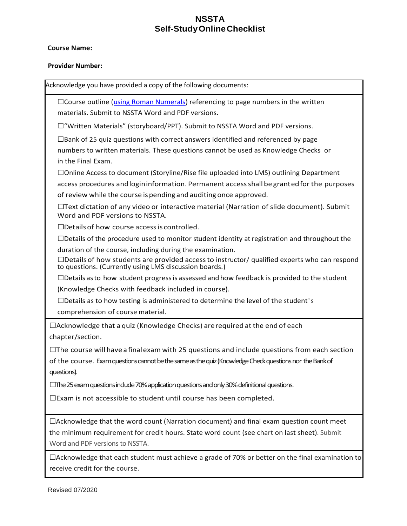## **NSSTA Self-StudyOnlineChecklist**

## **Course Name:**

## **Provider Number:**

Acknowledge you have provided a copy of the following documents: ☐Course outline [\(using Roman Numerals\)](https://owl.purdue.edu/owl/general_writing/the_writing_process/developing_an_outline/types_of_outlines.html) referencing to page numbers in the written materials. Submit to NSSTA Word and PDF versions. ☐"Written Materials" (storyboard/PPT). Submit to NSSTA Word and PDF versions.  $\square$ Bank of 25 quiz questions with correct answers identified and referenced by page numbers to written materials. These questions cannot be used as Knowledge Checks or in the Final Exam. ☐Online Access to document (Storyline/Rise file uploaded into LMS) outlining Department access procedures andlogininformation. Permanent accessshall be grantedfor the purposes of review while the course ispending andauditing once approved.  $\Box$ Text dictation of any video or interactive material (Narration of slide document). Submit Word and PDF versions to NSSTA.  $\Box$ Details of how course access is controlled.  $\Box$ Details of the procedure used to monitor student identity at registration and throughout the duration of the course, including during the examination.  $\Box$ Details of how students are provided access to instructor/ qualified experts who can respond to questions. (Currently using LMS discussion boards.)  $\Box$ Details as to how student progress is assessed and how feedback is provided to the student (Knowledge Checks with feedback included in course).  $\square$ Details as to how testing is administered to determine the level of the student's comprehension of course material.  $\Box$ Acknowledge that a quiz (Knowledge Checks) are required at the end of each chapter/section.  $\Box$ The course will have a final exam with 25 questions and include questions from each section of the course. Exam questions cannot be the same as the quiz (Knowledge Check questionsnor the Bank of questions). ☐The 25 exam questions include 70% application questions and only 30% definitional questions. ☐Exam is not accessible to student until course has been completed.  $\Box$ Acknowledge that the word count (Narration document) and final exam question count meet the minimum requirement for credit hours. State word count (see chart on last sheet). Submit Word and PDF versions to NSSTA.

☐Acknowledge that each student must achieve a grade of 70% or better on the final examination to receive credit for the course.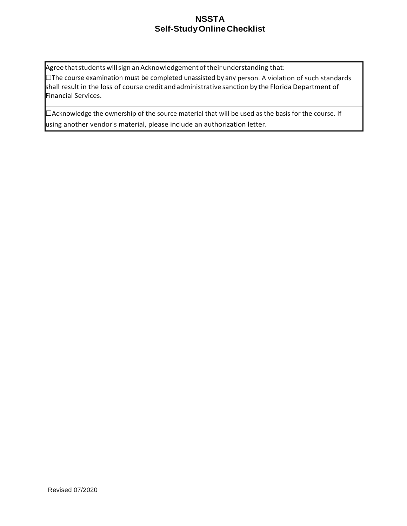## **NSSTA Self-StudyOnlineChecklist**

Agree that students will sign an Acknowledgement of their understanding that:

☐The course examination must be completed unassisted by any person. A violation of such standards shall result in the loss of course credit andadministrative sanction by the Florida Department of Financial Services.

☐Acknowledge the ownership of the source material that will be used as the basis for the course. If using another vendor's material, please include an authorization letter.